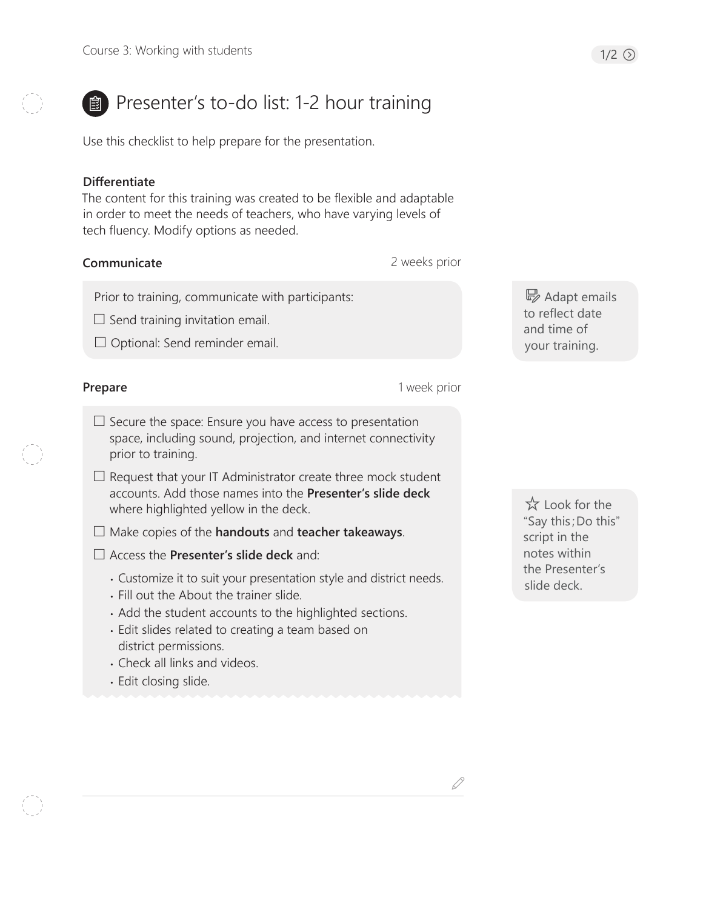# **B** Presenter's to-do list: 1-2 hour training

Use this checklist to help prepare for the presentation.

#### **Differentiate**

The content for this training was created to be flexible and adaptable in order to meet the needs of teachers, who have varying levels of tech fluency. Modify options as needed.

#### **Communicate**

2 weeks prior

Prior to training, communicate with participants:

 $\Box$  Send training invitation email.

 $\Box$  Optional: Send reminder email.

#### **Prepare**

- 1 week prior
- $\Box$  Secure the space: Ensure you have access to presentation space, including sound, projection, and internet connectivity prior to training.
- $\Box$  Request that your IT Administrator create three mock student accounts. Add those names into the **Presenter's slide deck** where highlighted yellow in the deck.
- Make copies of the **handouts** and **teacher takeaways**.
- Access the **Presenter's slide deck** and:
	- Customize it to suit your presentation style and district needs.
	- Fill out the About the trainer slide.
	- Add the student accounts to the highlighted sections.
	- Edit slides related to creating a team based on district permissions.
	- Check all links and videos.
	- Edit closing slide.

B Adapt emails to reflect date and time of your training.

 Look for the "Say this;Do this" script in the notes within the Presenter's slide deck.

D